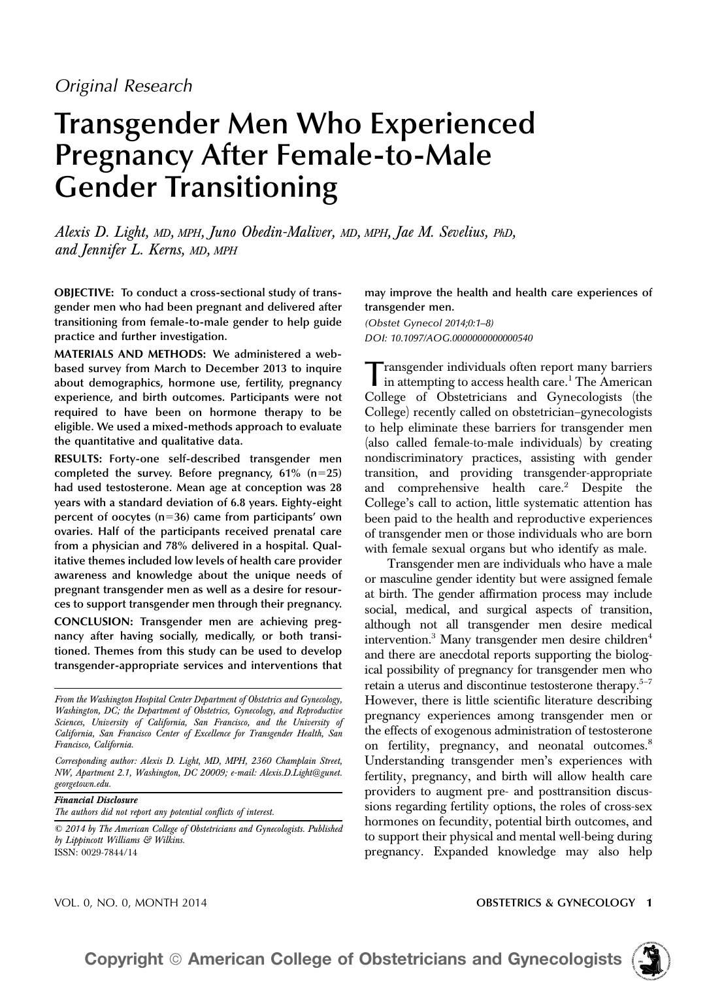# Transgender Men Who Experienced Pregnancy After Female-to-Male Gender Transitioning

Alexis D. Light, MD, MPH, Juno Obedin-Maliver, MD, MPH, Jae M. Sevelius, PhD, and Jennifer L. Kerns, MD, MPH

OBJECTIVE: To conduct a cross-sectional study of transgender men who had been pregnant and delivered after transitioning from female-to-male gender to help guide practice and further investigation.

MATERIALS AND METHODS: We administered a webbased survey from March to December 2013 to inquire about demographics, hormone use, fertility, pregnancy experience, and birth outcomes. Participants were not required to have been on hormone therapy to be eligible. We used a mixed-methods approach to evaluate the quantitative and qualitative data.

RESULTS: Forty-one self-described transgender men completed the survey. Before pregnancy,  $61\%$  (n=25) had used testosterone. Mean age at conception was 28 years with a standard deviation of 6.8 years. Eighty-eight percent of oocytes  $(n=36)$  came from participants' own ovaries. Half of the participants received prenatal care from a physician and 78% delivered in a hospital. Qualitative themes included low levels of health care provider awareness and knowledge about the unique needs of pregnant transgender men as well as a desire for resources to support transgender men through their pregnancy.

CONCLUSION: Transgender men are achieving pregnancy after having socially, medically, or both transitioned. Themes from this study can be used to develop transgender-appropriate services and interventions that

Financial Disclosure

The authors did not report any potential conflicts of interest.

may improve the health and health care experiences of transgender men.

(Obstet Gynecol 2014;0:1–8) DOI: 10.1097/AOG.0000000000000540

Transgender individuals often report many barriers<br>in attempting to access health care.<sup>1</sup> The American College of Obstetricians and Gynecologists (the College) recently called on obstetrician–gynecologists to help eliminate these barriers for transgender men (also called female-to-male individuals) by creating nondiscriminatory practices, assisting with gender transition, and providing transgender-appropriate and comprehensive health care. $2$  Despite the College's call to action, little systematic attention has been paid to the health and reproductive experiences of transgender men or those individuals who are born with female sexual organs but who identify as male.

Transgender men are individuals who have a male or masculine gender identity but were assigned female at birth. The gender affirmation process may include social, medical, and surgical aspects of transition, although not all transgender men desire medical intervention.<sup>3</sup> Many transgender men desire children<sup>4</sup> and there are anecdotal reports supporting the biological possibility of pregnancy for transgender men who retain a uterus and discontinue testosterone therapy.<sup>5-7</sup> However, there is little scientific literature describing pregnancy experiences among transgender men or the effects of exogenous administration of testosterone on fertility, pregnancy, and neonatal outcomes.<sup>8</sup> Understanding transgender men's experiences with fertility, pregnancy, and birth will allow health care providers to augment pre- and posttransition discussions regarding fertility options, the roles of cross-sex hormones on fecundity, potential birth outcomes, and to support their physical and mental well-being during pregnancy. Expanded knowledge may also help

### VOL. 0, NO. 0, MONTH 2014 **OBSTETRICS & GYNECOLOGY 1**



From the Washington Hospital Center Department of Obstetrics and Gynecology, Washington, DC; the Department of Obstetrics, Gynecology, and Reproductive Sciences, University of California, San Francisco, and the University of California, San Francisco Center of Excellence for Transgender Health, San Francisco, California.

Corresponding author: Alexis D. Light, MD, MPH, 2360 Champlain Street, NW, Apartment 2.1, Washington, DC 20009; e-mail: Alexis.D.Light@gunet. georgetown.edu.

<sup>© 2014</sup> by The American College of Obstetricians and Gynecologists. Published by Lippincott Williams & Wilkins. ISSN: 0029-7844/14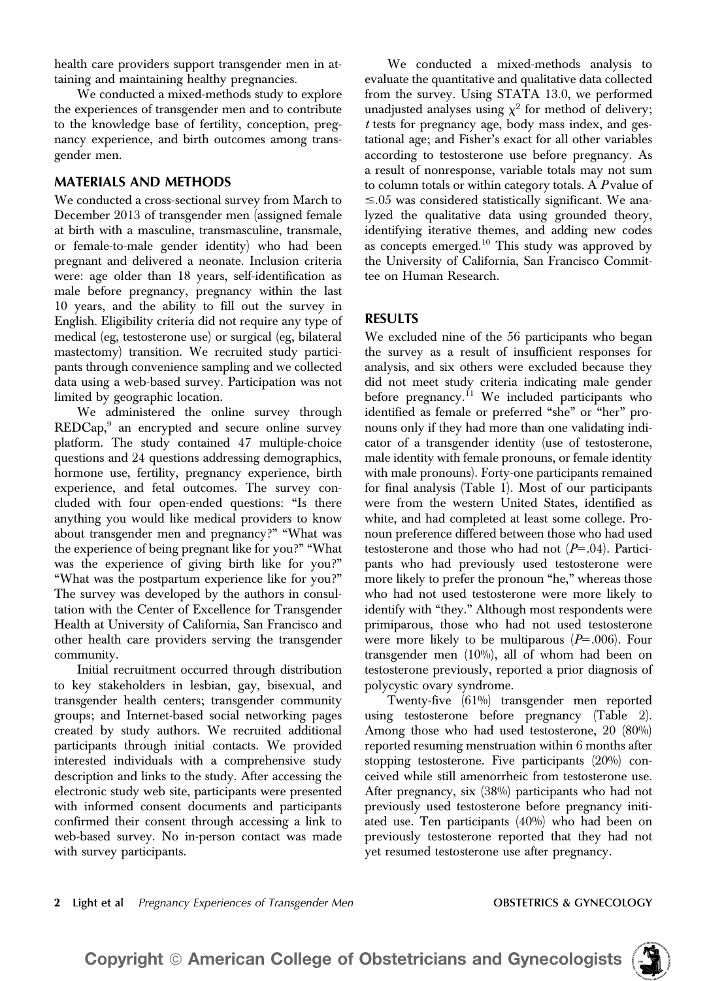health care providers support transgender men in attaining and maintaining healthy pregnancies.

We conducted a mixed-methods study to explore the experiences of transgender men and to contribute to the knowledge base of fertility, conception, pregnancy experience, and birth outcomes among transgender men.

## MATERIALS AND METHODS

We conducted a cross-sectional survey from March to December 2013 of transgender men (assigned female at birth with a masculine, transmasculine, transmale, or female-to-male gender identity) who had been pregnant and delivered a neonate. Inclusion criteria were: age older than 18 years, self-identification as male before pregnancy, pregnancy within the last 10 years, and the ability to fill out the survey in English. Eligibility criteria did not require any type of medical (eg, testosterone use) or surgical (eg, bilateral mastectomy) transition. We recruited study participants through convenience sampling and we collected data using a web-based survey. Participation was not limited by geographic location.

We administered the online survey through  $REDCap<sub>1</sub>$ <sup>9</sup> an encrypted and secure online survey platform. The study contained 47 multiple-choice questions and 24 questions addressing demographics, hormone use, fertility, pregnancy experience, birth experience, and fetal outcomes. The survey concluded with four open-ended questions: "Is there anything you would like medical providers to know about transgender men and pregnancy?" "What was the experience of being pregnant like for you?" "What was the experience of giving birth like for you?" "What was the postpartum experience like for you?" The survey was developed by the authors in consultation with the Center of Excellence for Transgender Health at University of California, San Francisco and other health care providers serving the transgender community.

Initial recruitment occurred through distribution to key stakeholders in lesbian, gay, bisexual, and transgender health centers; transgender community groups; and Internet-based social networking pages created by study authors. We recruited additional participants through initial contacts. We provided interested individuals with a comprehensive study description and links to the study. After accessing the electronic study web site, participants were presented with informed consent documents and participants confirmed their consent through accessing a link to web-based survey. No in-person contact was made with survey participants.

We conducted a mixed-methods analysis to evaluate the quantitative and qualitative data collected from the survey. Using STATA 13.0, we performed unadjusted analyses using  $\chi^2$  for method of delivery; t tests for pregnancy age, body mass index, and gestational age; and Fisher's exact for all other variables according to testosterone use before pregnancy. As a result of nonresponse, variable totals may not sum to column totals or within category totals. A P value of  $\leq 0.05$  was considered statistically significant. We analyzed the qualitative data using grounded theory, identifying iterative themes, and adding new codes as concepts emerged. $10$  This study was approved by the University of California, San Francisco Committee on Human Research.

### RESULTS

We excluded nine of the 56 participants who began the survey as a result of insufficient responses for analysis, and six others were excluded because they did not meet study criteria indicating male gender before pregnancy.<sup>11</sup> We included participants who identified as female or preferred "she" or "her" pronouns only if they had more than one validating indicator of a transgender identity (use of testosterone, male identity with female pronouns, or female identity with male pronouns). Forty-one participants remained for final analysis (Table 1). Most of our participants were from the western United States, identified as white, and had completed at least some college. Pronoun preference differed between those who had used testosterone and those who had not  $(P=.04)$ . Participants who had previously used testosterone were more likely to prefer the pronoun "he," whereas those who had not used testosterone were more likely to identify with "they." Although most respondents were primiparous, those who had not used testosterone were more likely to be multiparous  $(P=.006)$ . Four transgender men (10%), all of whom had been on testosterone previously, reported a prior diagnosis of polycystic ovary syndrome.

Twenty-five (61%) transgender men reported using testosterone before pregnancy (Table 2). Among those who had used testosterone, 20 (80%) reported resuming menstruation within 6 months after stopping testosterone. Five participants (20%) conceived while still amenorrheic from testosterone use. After pregnancy, six (38%) participants who had not previously used testosterone before pregnancy initiated use. Ten participants (40%) who had been on previously testosterone reported that they had not yet resumed testosterone use after pregnancy.

Copyright © American College of Obstetricians and Gynecologists (

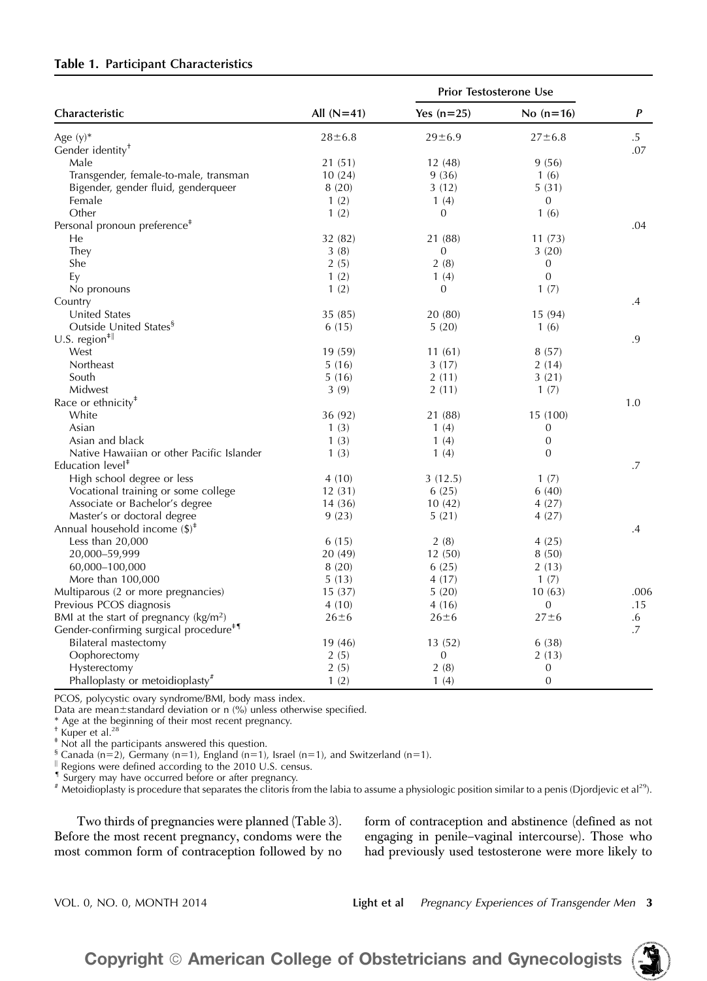|  |  | Table 1. Participant Characteristics |
|--|--|--------------------------------------|
|--|--|--------------------------------------|

|                                                    |              | <b>Prior Testosterone Use</b> |                  |                 |
|----------------------------------------------------|--------------|-------------------------------|------------------|-----------------|
| Characteristic                                     | All $(N=41)$ | Yes $(n=25)$                  | No $(n=16)$      | P               |
| Age $(y)^*$                                        | $28 \pm 6.8$ | $29 \pm 6.9$                  | $27 \pm 6.8$     | $.5\phantom{0}$ |
| Gender identity <sup>+</sup>                       |              |                               |                  | .07             |
| Male                                               | 21 (51)      | 12(48)                        | 9(56)            |                 |
| Transgender, female-to-male, transman              | 10(24)       | 9(36)                         | 1(6)             |                 |
| Bigender, gender fluid, genderqueer                | 8(20)        | 3(12)                         | 5(31)            |                 |
| Female                                             | 1(2)         | 1(4)                          | $\overline{0}$   |                 |
| Other                                              | 1(2)         | $\mathbf{0}$                  | 1(6)             |                 |
| Personal pronoun preference <sup>#</sup>           |              |                               |                  | .04             |
| He                                                 | 32 (82)      | 21 (88)                       | 11(73)           |                 |
| They                                               | 3(8)         | $\overline{0}$                | 3(20)            |                 |
| She                                                | 2(5)         | 2(8)                          | $\boldsymbol{0}$ |                 |
| Ey                                                 | 1(2)         | 1(4)                          | $\overline{0}$   |                 |
| No pronouns                                        | 1(2)         | $\mathbf{0}$                  | 1(7)             |                 |
| Country                                            |              |                               |                  | .4              |
| <b>United States</b>                               | 35(85)       | 20(80)                        | 15(94)           |                 |
| Outside United States <sup>§</sup>                 | 6(15)        | 5(20)                         | 1(6)             |                 |
| U.S. region <sup><math>*</math>  </sup>            |              |                               |                  | .9              |
| West                                               | 19 (59)      | 11(61)                        | 8(57)            |                 |
| Northeast                                          | 5(16)        | 3(17)                         | 2 (14)           |                 |
| South                                              | 5(16)        | 2(11)                         | 3(21)            |                 |
| Midwest                                            | 3(9)         | 2(11)                         | 1(7)             |                 |
| Race or ethnicity <sup>#</sup>                     |              |                               |                  | 1.0             |
| White                                              | 36 (92)      | 21 (88)                       | 15 (100)         |                 |
| Asian                                              | 1(3)         | 1(4)                          | $\boldsymbol{0}$ |                 |
| Asian and black                                    | 1(3)         | 1(4)                          | 0                |                 |
| Native Hawaiian or other Pacific Islander          | 1(3)         | 1(4)                          | $\mathbf{0}$     |                 |
| Education level <sup>#</sup>                       |              |                               |                  | .7              |
| High school degree or less                         | 4(10)        | 3(12.5)                       | 1(7)             |                 |
| Vocational training or some college                | 12(31)       | 6(25)                         | 6(40)            |                 |
| Associate or Bachelor's degree                     | 14 (36)      | 10(42)                        | 4(27)            |                 |
| Master's or doctoral degree                        | 9(23)        | 5(21)                         | 4(27)            |                 |
| Annual household income $(\text{$\$})^*$           |              |                               |                  | $\cdot$         |
| Less than 20,000                                   | 6(15)        | 2(8)                          | 4(25)            |                 |
| 20,000-59,999                                      | 20 (49)      | 12 (50)                       | 8(50)            |                 |
| 60,000-100,000                                     | 8(20)        | 6(25)                         | 2(13)            |                 |
| More than 100,000                                  | 5(13)        | 4(17)                         | 1(7)             |                 |
| Multiparous (2 or more pregnancies)                | 15(37)       | 5(20)                         | 10(63)           | .006            |
| Previous PCOS diagnosis                            | 4(10)        | 4(16)                         | $\mathbf{0}$     | .15             |
| BMI at the start of pregnancy $(kg/m2)$            | $26 \pm 6$   | $26 \pm 6$                    | $27 + 6$         | .6              |
| Gender-confirming surgical procedure <sup>#1</sup> |              |                               |                  | .7              |
| Bilateral mastectomy                               | 19(46)       | 13(52)                        | 6(38)            |                 |
| Oophorectomy                                       | 2(5)         | $\boldsymbol{0}$              | 2(13)            |                 |
| Hysterectomy                                       | 2(5)         | 2(8)                          | $\boldsymbol{0}$ |                 |
| Phalloplasty or metoidioplasty <sup>#</sup>        | 1(2)         | 1(4)                          | $\boldsymbol{0}$ |                 |

PCOS, polycystic ovary syndrome/BMI, body mass index.

Data are mean $\pm$ standard deviation or n (%) unless otherwise specified.

Age at the beginning of their most recent pregnancy.

Kuper et al.<sup>28</sup>

‡ Not all the participants answered this question.

S Canada (n=2), Germany (n=1), England (n=1), Israel (n=1), and Switzerland (n=1).

 $\frac{1}{1}$  Regions were defined according to the 2010 U.S. census.<br>I Surgery may have occurred before or after pregnancy.

 $*$  Metoidioplasty is procedure that separates the clitoris from the labia to assume a physiologic position similar to a penis (Djordjevic et al<sup>29</sup>).

Two thirds of pregnancies were planned (Table 3). Before the most recent pregnancy, condoms were the most common form of contraception followed by no

form of contraception and abstinence (defined as not engaging in penile–vaginal intercourse). Those who had previously used testosterone were more likely to

Copyright ª American College of Obstetricians and Gynecologists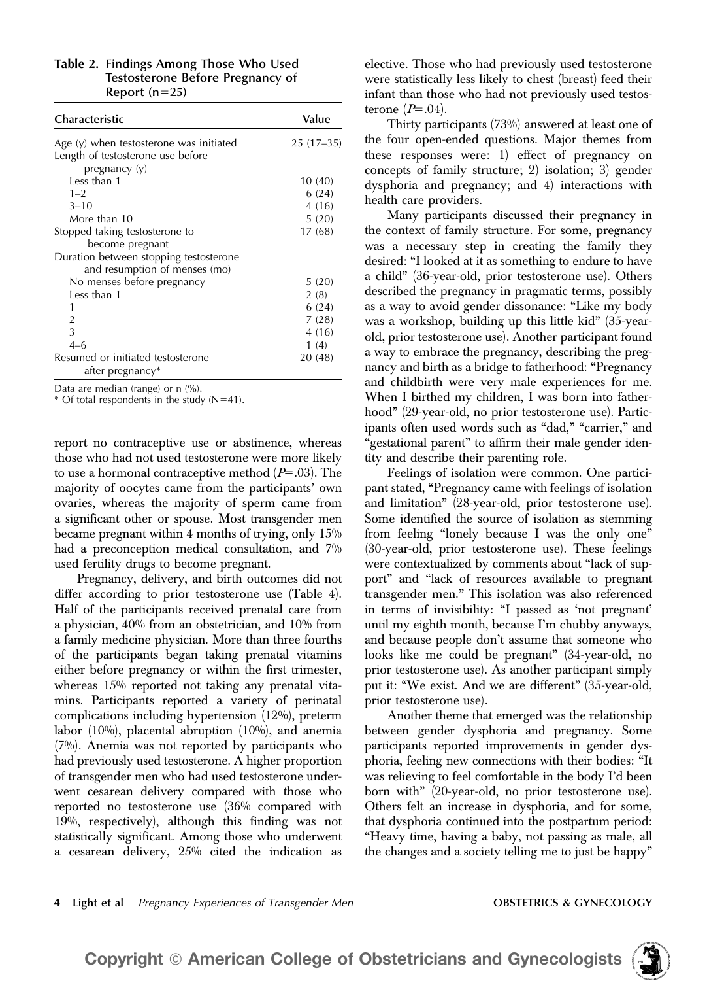| Table 2. Findings Among Those Who Used |
|----------------------------------------|
| Testosterone Before Pregnancy of       |
| Report $(n=25)$                        |

| Characteristic                            | Value       |
|-------------------------------------------|-------------|
| Age $(y)$ when testosterone was initiated | $25(17-35)$ |
| Length of testosterone use before         |             |
| pregnancy $(y)$                           |             |
| Less than 1                               | 10 (40)     |
| $1 - 2$                                   | 6(24)       |
| $3 - 10$                                  | 4(16)       |
| More than 10                              | 5(20)       |
| Stopped taking testosterone to            | 17 (68)     |
| become pregnant                           |             |
| Duration between stopping testosterone    |             |
| and resumption of menses (mo)             |             |
| No menses before pregnancy                | 5(20)       |
| Less than 1                               | 2(8)        |
|                                           | 6(24)       |
| 2                                         | 7(28)       |
| 3                                         | 4(16)       |
| $4 - 6$                                   | 1(4)        |
| Resumed or initiated testosterone         | 20 (48)     |
| after pregnancy*                          |             |

Data are median (range) or n (%).

\* Of total respondents in the study  $(N=41)$ .

report no contraceptive use or abstinence, whereas those who had not used testosterone were more likely to use a hormonal contraceptive method  $(P=.03)$ . The majority of oocytes came from the participants' own ovaries, whereas the majority of sperm came from a significant other or spouse. Most transgender men became pregnant within 4 months of trying, only 15% had a preconception medical consultation, and 7% used fertility drugs to become pregnant.

Pregnancy, delivery, and birth outcomes did not differ according to prior testosterone use (Table 4). Half of the participants received prenatal care from a physician, 40% from an obstetrician, and 10% from a family medicine physician. More than three fourths of the participants began taking prenatal vitamins either before pregnancy or within the first trimester, whereas 15% reported not taking any prenatal vitamins. Participants reported a variety of perinatal complications including hypertension (12%), preterm labor (10%), placental abruption (10%), and anemia (7%). Anemia was not reported by participants who had previously used testosterone. A higher proportion of transgender men who had used testosterone underwent cesarean delivery compared with those who reported no testosterone use (36% compared with 19%, respectively), although this finding was not statistically significant. Among those who underwent a cesarean delivery, 25% cited the indication as

elective. Those who had previously used testosterone were statistically less likely to chest (breast) feed their infant than those who had not previously used testosterone  $(P=.04)$ .

Thirty participants (73%) answered at least one of the four open-ended questions. Major themes from these responses were: 1) effect of pregnancy on concepts of family structure; 2) isolation; 3) gender dysphoria and pregnancy; and 4) interactions with health care providers.

Many participants discussed their pregnancy in the context of family structure. For some, pregnancy was a necessary step in creating the family they desired: "I looked at it as something to endure to have a child" (36-year-old, prior testosterone use). Others described the pregnancy in pragmatic terms, possibly as a way to avoid gender dissonance: "Like my body was a workshop, building up this little kid" (35-yearold, prior testosterone use). Another participant found a way to embrace the pregnancy, describing the pregnancy and birth as a bridge to fatherhood: "Pregnancy and childbirth were very male experiences for me. When I birthed my children, I was born into fatherhood" (29-year-old, no prior testosterone use). Participants often used words such as "dad," "carrier," and "gestational parent" to affirm their male gender identity and describe their parenting role.

Feelings of isolation were common. One participant stated, "Pregnancy came with feelings of isolation and limitation" (28-year-old, prior testosterone use). Some identified the source of isolation as stemming from feeling "lonely because I was the only one" (30-year-old, prior testosterone use). These feelings were contextualized by comments about "lack of support" and "lack of resources available to pregnant transgender men." This isolation was also referenced in terms of invisibility: "I passed as 'not pregnant' until my eighth month, because I'm chubby anyways, and because people don't assume that someone who looks like me could be pregnant" (34-year-old, no prior testosterone use). As another participant simply put it: "We exist. And we are different" (35-year-old, prior testosterone use).

Another theme that emerged was the relationship between gender dysphoria and pregnancy. Some participants reported improvements in gender dysphoria, feeling new connections with their bodies: "It was relieving to feel comfortable in the body I'd been born with" (20-year-old, no prior testosterone use). Others felt an increase in dysphoria, and for some, that dysphoria continued into the postpartum period: "Heavy time, having a baby, not passing as male, all the changes and a society telling me to just be happy"

Copyright ª American College of Obstetricians and Gynecologists

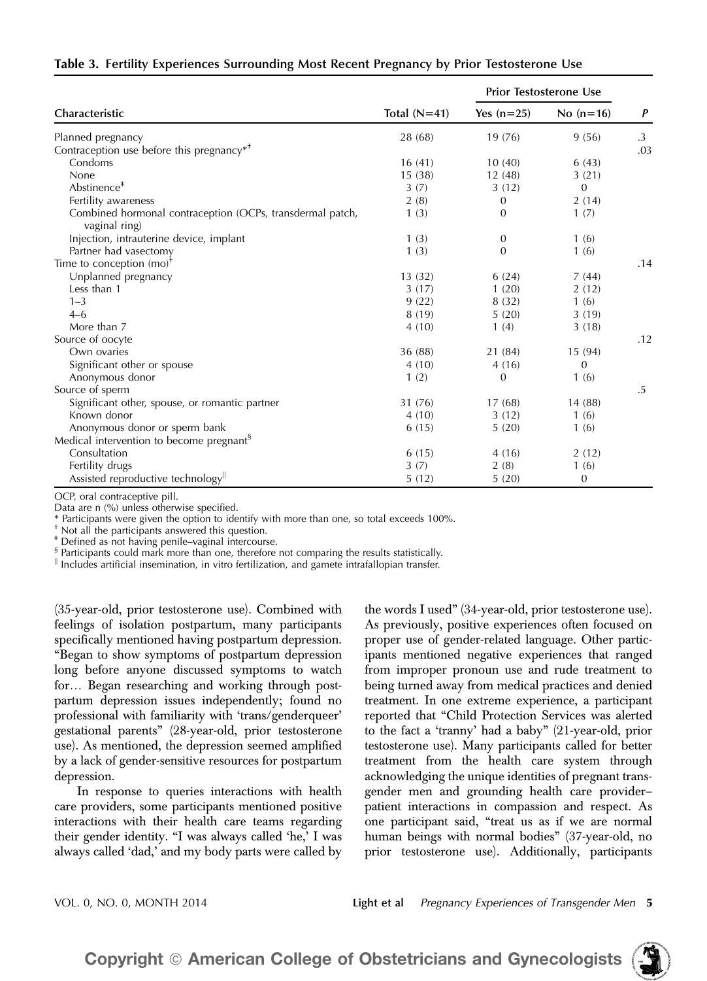|  |  |  |  |  |  |  | Table 3. Fertility Experiences Surrounding Most Recent Pregnancy by Prior Testosterone Use |  |
|--|--|--|--|--|--|--|--------------------------------------------------------------------------------------------|--|
|--|--|--|--|--|--|--|--------------------------------------------------------------------------------------------|--|

|                                                                            |                | <b>Prior Testosterone Use</b> |              |     |
|----------------------------------------------------------------------------|----------------|-------------------------------|--------------|-----|
| Characteristic                                                             | Total $(N=41)$ |                               | No $(n=16)$  | P   |
| Planned pregnancy                                                          | 28 (68)        | 19(76)                        | 9(56)        | .3  |
| Contraception use before this pregnancy <sup>*†</sup>                      |                |                               |              | .03 |
| Condoms                                                                    | 16(41)         | 10(40)                        | 6(43)        |     |
| None                                                                       | 15(38)         | 12(48)                        | 3(21)        |     |
| Abstinence <sup>#</sup>                                                    | 3(7)           | 3(12)                         | $\mathbf{0}$ |     |
| Fertility awareness                                                        | 2(8)           | 0                             | 2(14)        |     |
| Combined hormonal contraception (OCPs, transdermal patch,<br>vaginal ring) | 1(3)           | 0                             | 1(7)         |     |
| Injection, intrauterine device, implant                                    | 1(3)           | $\mathbf{0}$                  | 1(6)         |     |
| Partner had vasectomy                                                      | 1(3)           | $\mathbf{0}$                  | 1(6)         |     |
| Time to conception $(mo)^+$                                                |                |                               |              | .14 |
| Unplanned pregnancy                                                        | 13(32)         | 6(24)                         | 7(44)        |     |
| Less than 1                                                                | 3(17)          | 1(20)                         | 2(12)        |     |
| $1 - 3$                                                                    | 9(22)          | 8(32)                         | 1(6)         |     |
| $4 - 6$                                                                    | 8(19)          | 5(20)                         | 3(19)        |     |
| More than 7                                                                | 4(10)          | 1(4)                          | 3(18)        |     |
| Source of oocyte                                                           |                |                               |              | .12 |
| Own ovaries                                                                | 36 (88)        | 21 (84)                       | 15 (94)      |     |
| Significant other or spouse                                                | 4(10)          | 4(16)                         | $\mathbf{0}$ |     |
| Anonymous donor                                                            | 1(2)           | $\overline{0}$                | 1(6)         |     |
| Source of sperm                                                            |                |                               |              | .5  |
| Significant other, spouse, or romantic partner                             | 31 (76)        | 17(68)                        | 14 (88)      |     |
| Known donor                                                                | 4(10)          | 3(12)                         | 1(6)         |     |
| Anonymous donor or sperm bank                                              | 6(15)          | 5(20)                         | 1(6)         |     |
| Medical intervention to become pregnant <sup>§</sup>                       |                |                               |              |     |
| Consultation                                                               | 6(15)          | 4(16)                         | 2(12)        |     |
| Fertility drugs                                                            | 3(7)           | 2(8)                          | 1(6)         |     |
| Assisted reproductive technology <sup>  </sup>                             | 5(12)          | 5(20)                         | $\mathbf{0}$ |     |

OCP, oral contraceptive pill.

Data are n (%) unless otherwise specified.

\* Participants were given the option to identify with more than one, so total exceeds 100%.

† Not all the participants answered this question.

‡ Defined as not having penile–vaginal intercourse.

 $\frac{1}{2}$  Participants could mark more than one, therefore not comparing the results statistically.

 $\parallel$  Includes artificial insemination, in vitro fertilization, and gamete intrafallopian transfer.

(35-year-old, prior testosterone use). Combined with feelings of isolation postpartum, many participants specifically mentioned having postpartum depression. "Began to show symptoms of postpartum depression long before anyone discussed symptoms to watch for... Began researching and working through postpartum depression issues independently; found no professional with familiarity with 'trans/genderqueer' gestational parents" (28-year-old, prior testosterone use). As mentioned, the depression seemed amplified by a lack of gender-sensitive resources for postpartum depression.

In response to queries interactions with health care providers, some participants mentioned positive interactions with their health care teams regarding their gender identity. "I was always called 'he,' I was always called 'dad,' and my body parts were called by the words I used" (34-year-old, prior testosterone use). As previously, positive experiences often focused on proper use of gender-related language. Other participants mentioned negative experiences that ranged from improper pronoun use and rude treatment to being turned away from medical practices and denied treatment. In one extreme experience, a participant reported that "Child Protection Services was alerted to the fact a 'tranny' had a baby" (21-year-old, prior testosterone use). Many participants called for better treatment from the health care system through acknowledging the unique identities of pregnant transgender men and grounding health care provider– patient interactions in compassion and respect. As one participant said, "treat us as if we are normal human beings with normal bodies" (37-year-old, no prior testosterone use). Additionally, participants

VOL. 0, NO. 0, MONTH 2014 **Light et al** Pregnancy Experiences of Transgender Men 5

Copyright © American College of Obstetricians and Gynecologists

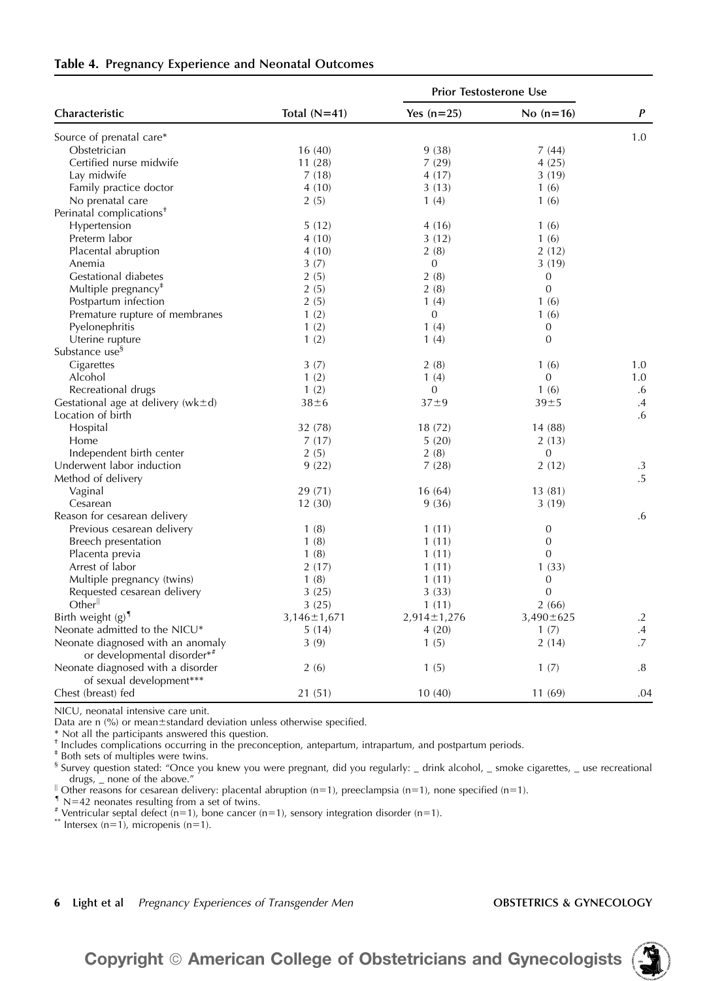|                                                                  | <b>Prior Testosterone Use</b> |                   |                  |            |  |
|------------------------------------------------------------------|-------------------------------|-------------------|------------------|------------|--|
| Characteristic                                                   | Total $(N=41)$                | Yes $(n=25)$      | No $(n=16)$      | P          |  |
| Source of prenatal care*                                         |                               |                   |                  | 1.0        |  |
| Obstetrician                                                     | 16(40)                        | 9(38)             | 7(44)            |            |  |
| Certified nurse midwife                                          | 11(28)                        | 7(29)             | 4(25)            |            |  |
| Lay midwife                                                      | 7(18)                         | 4(17)             | 3(19)            |            |  |
| Family practice doctor                                           | 4(10)                         | 3(13)             | 1(6)             |            |  |
| No prenatal care                                                 | 2(5)                          | 1(4)              | 1(6)             |            |  |
| Perinatal complications <sup>+</sup>                             |                               |                   |                  |            |  |
| Hypertension                                                     | 5(12)                         | 4(16)             | 1(6)             |            |  |
| Preterm labor                                                    | 4(10)                         | 3(12)             | 1(6)             |            |  |
| Placental abruption                                              | 4(10)                         | 2(8)              | 2(12)            |            |  |
| Anemia                                                           | 3(7)                          | $\mathbf{0}$      | 3(19)            |            |  |
| Gestational diabetes                                             | 2(5)                          | 2(8)              | $\mathbf{0}$     |            |  |
| Multiple pregnancy <sup>#</sup>                                  | 2(5)                          | 2(8)              | $\Omega$         |            |  |
| Postpartum infection                                             | 2(5)                          | 1(4)              | 1(6)             |            |  |
| Premature rupture of membranes                                   | 1(2)                          | $\mathbf{0}$      | 1(6)             |            |  |
| Pyelonephritis                                                   | 1(2)                          | 1(4)              | $\mathbf{0}$     |            |  |
| Uterine rupture                                                  | 1(2)                          | 1(4)              | $\mathbf{0}$     |            |  |
| Substance use <sup>s</sup>                                       |                               |                   |                  |            |  |
| Cigarettes                                                       | 3(7)                          | 2(8)              | 1(6)             | 1.0        |  |
| Alcohol                                                          | 1(2)                          | 1(4)              | $\overline{0}$   | 1.0        |  |
| Recreational drugs                                               | 1(2)                          | $\mathbf{0}$      | 1(6)             | .6         |  |
| Gestational age at delivery ( $wk±d$ )                           | $38 + 6$                      | $37 + 9$          | $39 \pm 5$       | .4         |  |
| Location of birth                                                |                               |                   |                  | .6         |  |
| Hospital                                                         | 32 (78)                       | 18(72)            | 14(88)           |            |  |
| Home                                                             | 7(17)                         | 5(20)             | 2(13)            |            |  |
| Independent birth center                                         | 2(5)                          | 2(8)              | $\boldsymbol{0}$ |            |  |
| Underwent labor induction                                        | 9(22)                         | 7(28)             | 2(12)            | .3         |  |
| Method of delivery                                               |                               |                   |                  | $.5\,$     |  |
| Vaginal                                                          | 29 (71)                       | 16(64)            | 13 (81)          |            |  |
| Cesarean                                                         | 12(30)                        | 9(36)             | 3(19)            |            |  |
| Reason for cesarean delivery                                     |                               |                   |                  | .6         |  |
| Previous cesarean delivery                                       | 1(8)                          | 1(11)             | $\mathbf{0}$     |            |  |
| Breech presentation                                              | 1(8)                          | 1(11)             | $\mathbf{0}$     |            |  |
| Placenta previa                                                  | 1(8)                          | 1(11)             | $\mathbf{0}$     |            |  |
| Arrest of labor                                                  | 2(17)                         | 1(11)             | 1(33)            |            |  |
| Multiple pregnancy (twins)                                       | 1(8)                          | 1(11)             | $\boldsymbol{0}$ |            |  |
| Requested cesarean delivery                                      | 3(25)                         | 3(33)             | $\boldsymbol{0}$ |            |  |
| Other <sup>  </sup>                                              | 3(25)                         | 1(11)             | 2(66)            |            |  |
| Birth weight $(g)$ <sup>¶</sup>                                  | $3,146 \pm 1,671$             | $2,914 \pm 1,276$ | $3,490 \pm 625$  | $\cdot$ .2 |  |
| Neonate admitted to the NICU*                                    | 5(14)                         | 4(20)             | 1(7)             | $\cdot$    |  |
| Neonate diagnosed with an anomaly<br>or developmental disorder*# | 3(9)                          | 1(5)              | 2(14)            | .7         |  |
| Neonate diagnosed with a disorder<br>of sexual development***    | 2(6)                          | 1(5)              | 1(7)             | .8         |  |
| Chest (breast) fed                                               | 21(51)                        | 10(40)            | 11(69)           | .04        |  |

### Table 4. Pregnancy Experience and Neonatal Outcomes

NICU, neonatal intensive care unit.

Data are n  $(\%)$  or mean $\pm$ standard deviation unless otherwise specified.

\* Not all the participants answered this question.

† Includes complications occurring in the preconception, antepartum, intrapartum, and postpartum periods.

‡ Both sets of multiples were twins. § Survey question stated: "Once you knew you were pregnant, did you regularly: \_ drink alcohol, \_ smoke cigarettes, \_ use recreational drugs, \_ none of the above."<br>  $\blacksquare$  Other reasons for cesarean delivery: placental abruption (n=1), preeclampsia (n=1), none specified (n=1).

 $N=42$  neonates resulting from a set of twins.<br>  $N=42$  neonates resulting from a set of twins.<br>  $N=42$  ventricular septal defect (n=1), bone cancer (n=1), sensory integration disorder (n=1).<br>
\*\* Intersex (n=1), micropenis

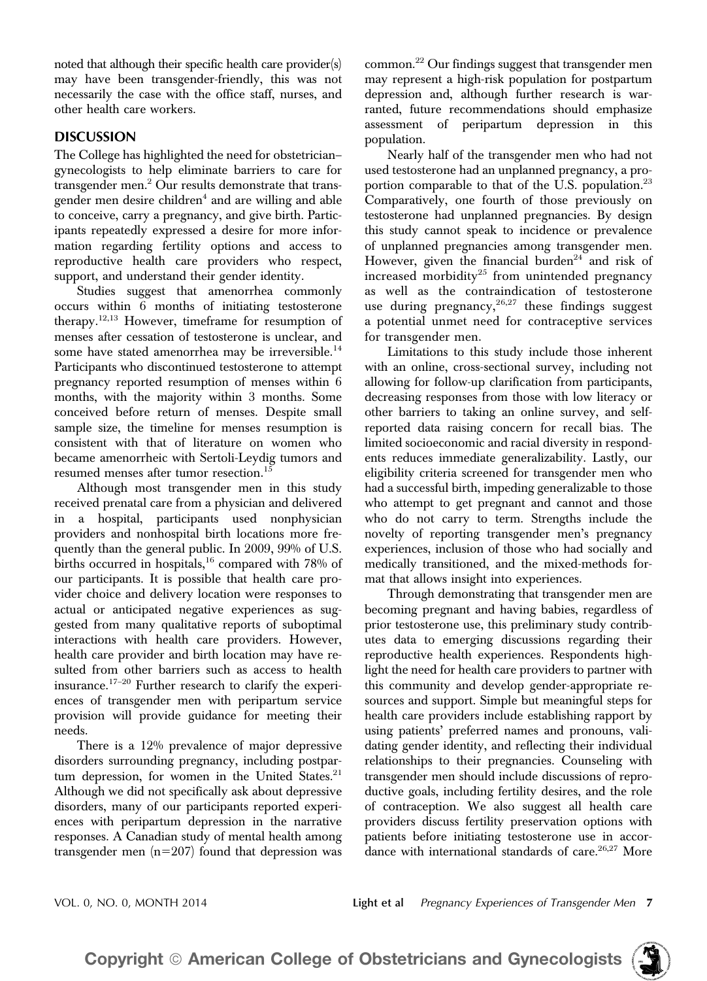noted that although their specific health care provider(s) may have been transgender-friendly, this was not necessarily the case with the office staff, nurses, and other health care workers.

# DISCUSSION

The College has highlighted the need for obstetrician– gynecologists to help eliminate barriers to care for transgender men. $2$  Our results demonstrate that transgender men desire children $4$  and are willing and able to conceive, carry a pregnancy, and give birth. Participants repeatedly expressed a desire for more information regarding fertility options and access to reproductive health care providers who respect, support, and understand their gender identity.

Studies suggest that amenorrhea commonly occurs within 6 months of initiating testosterone therapy.<sup>12,13</sup> However, timeframe for resumption of menses after cessation of testosterone is unclear, and some have stated amenorrhea may be irreversible.<sup>14</sup> Participants who discontinued testosterone to attempt pregnancy reported resumption of menses within 6 months, with the majority within 3 months. Some conceived before return of menses. Despite small sample size, the timeline for menses resumption is consistent with that of literature on women who became amenorrheic with Sertoli-Leydig tumors and resumed menses after tumor resection.<sup>15</sup>

Although most transgender men in this study received prenatal care from a physician and delivered in a hospital, participants used nonphysician providers and nonhospital birth locations more frequently than the general public. In 2009, 99% of U.S. births occurred in hospitals,<sup>16</sup> compared with 78% of our participants. It is possible that health care provider choice and delivery location were responses to actual or anticipated negative experiences as suggested from many qualitative reports of suboptimal interactions with health care providers. However, health care provider and birth location may have resulted from other barriers such as access to health insurance. $17-20$  Further research to clarify the experiences of transgender men with peripartum service provision will provide guidance for meeting their needs.

There is a 12% prevalence of major depressive disorders surrounding pregnancy, including postpartum depression, for women in the United States.<sup>21</sup> Although we did not specifically ask about depressive disorders, many of our participants reported experiences with peripartum depression in the narrative responses. A Canadian study of mental health among transgender men  $(n=207)$  found that depression was

common.<sup>22</sup> Our findings suggest that transgender men may represent a high-risk population for postpartum depression and, although further research is warranted, future recommendations should emphasize assessment of peripartum depression in this population.

Nearly half of the transgender men who had not used testosterone had an unplanned pregnancy, a proportion comparable to that of the U.S. population. $^{23}$ Comparatively, one fourth of those previously on testosterone had unplanned pregnancies. By design this study cannot speak to incidence or prevalence of unplanned pregnancies among transgender men. However, given the financial burden<sup>24</sup> and risk of increased morbidity $25$  from unintended pregnancy as well as the contraindication of testosterone use during pregnancy,  $26,27$  these findings suggest a potential unmet need for contraceptive services for transgender men.

Limitations to this study include those inherent with an online, cross-sectional survey, including not allowing for follow-up clarification from participants, decreasing responses from those with low literacy or other barriers to taking an online survey, and selfreported data raising concern for recall bias. The limited socioeconomic and racial diversity in respondents reduces immediate generalizability. Lastly, our eligibility criteria screened for transgender men who had a successful birth, impeding generalizable to those who attempt to get pregnant and cannot and those who do not carry to term. Strengths include the novelty of reporting transgender men's pregnancy experiences, inclusion of those who had socially and medically transitioned, and the mixed-methods format that allows insight into experiences.

Through demonstrating that transgender men are becoming pregnant and having babies, regardless of prior testosterone use, this preliminary study contributes data to emerging discussions regarding their reproductive health experiences. Respondents highlight the need for health care providers to partner with this community and develop gender-appropriate resources and support. Simple but meaningful steps for health care providers include establishing rapport by using patients' preferred names and pronouns, validating gender identity, and reflecting their individual relationships to their pregnancies. Counseling with transgender men should include discussions of reproductive goals, including fertility desires, and the role of contraception. We also suggest all health care providers discuss fertility preservation options with patients before initiating testosterone use in accordance with international standards of care.<sup>26,27</sup> More

VOL. 0, NO. 0, MONTH 2014 **Light et al** Pregnancy Experiences of Transgender Men 7

Copyright © American College of Obstetricians and Gynecologists (